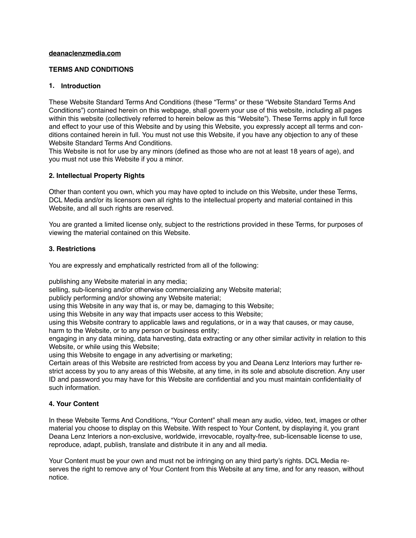### **deanaclenzmedia.com**

## **TERMS AND CONDITIONS**

## **1. Introduction**

These Website Standard Terms And Conditions (these "Terms" or these "Website Standard Terms And Conditions") contained herein on this webpage, shall govern your use of this website, including all pages within this website (collectively referred to herein below as this "Website"). These Terms apply in full force and effect to your use of this Website and by using this Website, you expressly accept all terms and conditions contained herein in full. You must not use this Website, if you have any objection to any of these Website Standard Terms And Conditions.

This Website is not for use by any minors (defined as those who are not at least 18 years of age), and you must not use this Website if you a minor.

## **2. Intellectual Property Rights**

Other than content you own, which you may have opted to include on this Website, under these Terms, DCL Media and/or its licensors own all rights to the intellectual property and material contained in this Website, and all such rights are reserved.

You are granted a limited license only, subject to the restrictions provided in these Terms, for purposes of viewing the material contained on this Website.

## **3. Restrictions**

You are expressly and emphatically restricted from all of the following:

publishing any Website material in any media;

selling, sub-licensing and/or otherwise commercializing any Website material;

publicly performing and/or showing any Website material;

using this Website in any way that is, or may be, damaging to this Website;

using this Website in any way that impacts user access to this Website;

using this Website contrary to applicable laws and regulations, or in a way that causes, or may cause, harm to the Website, or to any person or business entity;

engaging in any data mining, data harvesting, data extracting or any other similar activity in relation to this Website, or while using this Website;

using this Website to engage in any advertising or marketing;

Certain areas of this Website are restricted from access by you and Deana Lenz Interiors may further restrict access by you to any areas of this Website, at any time, in its sole and absolute discretion. Any user ID and password you may have for this Website are confidential and you must maintain confidentiality of such information.

# **4. Your Content**

In these Website Terms And Conditions, "Your Content" shall mean any audio, video, text, images or other material you choose to display on this Website. With respect to Your Content, by displaying it, you grant Deana Lenz Interiors a non-exclusive, worldwide, irrevocable, royalty-free, sub-licensable license to use, reproduce, adapt, publish, translate and distribute it in any and all media.

Your Content must be your own and must not be infringing on any third party's rights. DCL Media reserves the right to remove any of Your Content from this Website at any time, and for any reason, without notice.